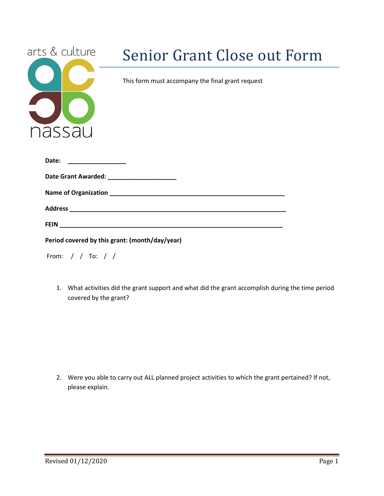| arts & culture |  |  |  |  |
|----------------|--|--|--|--|
|                |  |  |  |  |
|                |  |  |  |  |
|                |  |  |  |  |
|                |  |  |  |  |
| nassau         |  |  |  |  |
|                |  |  |  |  |

## Senior Grant Close out Form

This form must accompany the final grant request

| Date:                                          |
|------------------------------------------------|
|                                                |
|                                                |
|                                                |
|                                                |
| Period covered by this grant: (month/day/year) |

| From: |  |  |  |  |  |
|-------|--|--|--|--|--|
|-------|--|--|--|--|--|

1. What activities did the grant support and what did the grant accomplish during the time period covered by the grant?

2. Were you able to carry out ALL planned project activities to which the grant pertained? If not, please explain.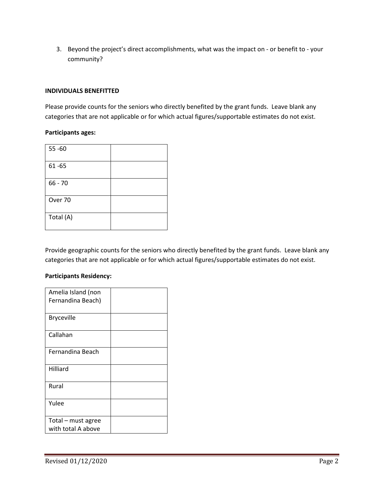3. Beyond the project's direct accomplishments, what was the impact on - or benefit to - your community?

## **INDIVIDUALS BENEFITTED**

Please provide counts for the seniors who directly benefited by the grant funds. Leave blank any categories that are not applicable or for which actual figures/supportable estimates do not exist.

## **Participants ages:**

| $55 - 60$ |  |
|-----------|--|
| $61 - 65$ |  |
| $66 - 70$ |  |
| Over 70   |  |
| Total (A) |  |

Provide geographic counts for the seniors who directly benefited by the grant funds. Leave blank any categories that are not applicable or for which actual figures/supportable estimates do not exist.

## **Participants Residency:**

| Amelia Island (non |  |
|--------------------|--|
| Fernandina Beach)  |  |
|                    |  |
| <b>Bryceville</b>  |  |
| Callahan           |  |
| Fernandina Beach   |  |
| Hilliard           |  |
| Rural              |  |
| Yulee              |  |
| Total - must agree |  |
| with total A above |  |